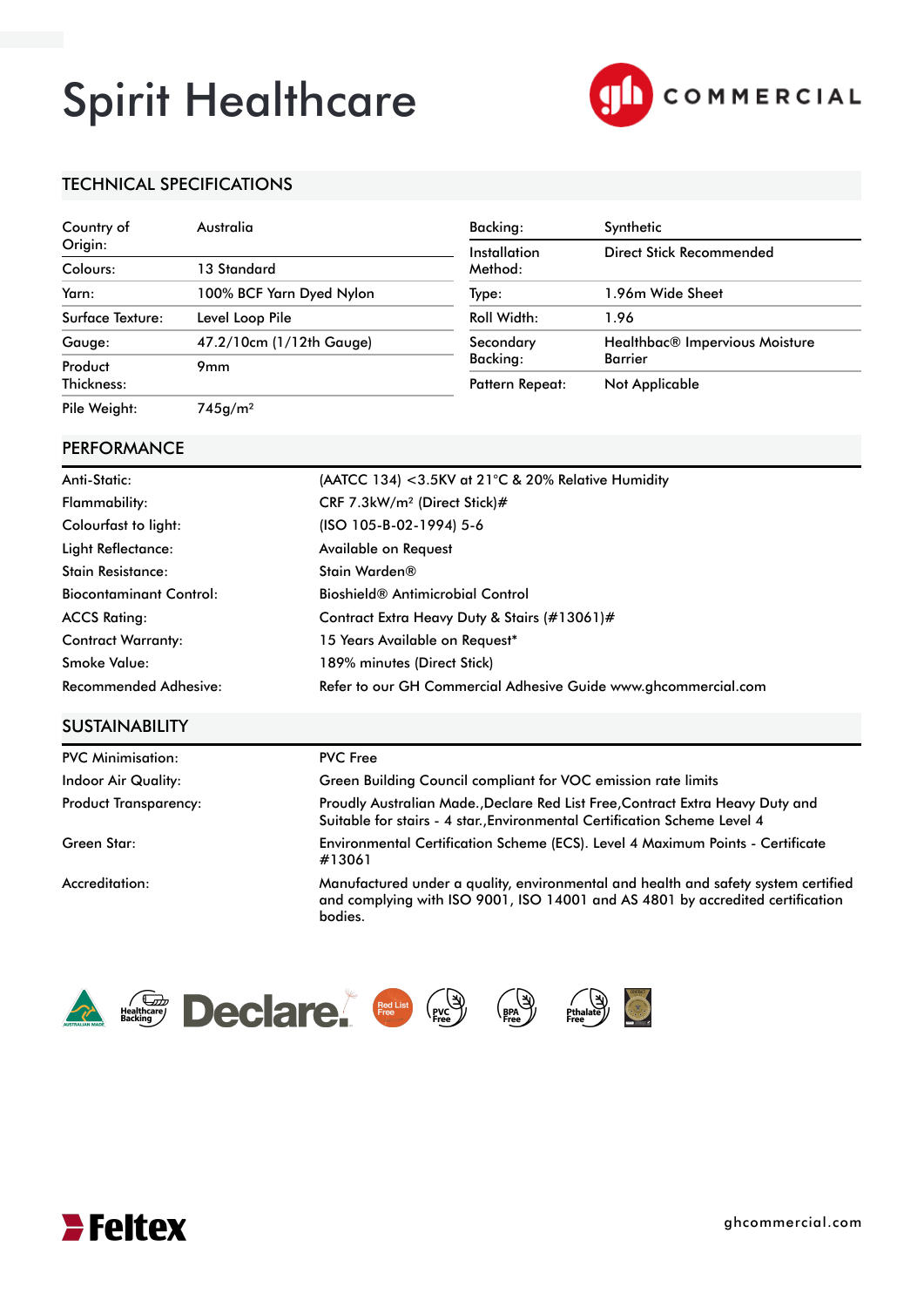# Spirit Healthcare



## TECHNICAL SPECIFICATIONS

| Country of       | Australia                | Backing:               | Synthetic                      |  |
|------------------|--------------------------|------------------------|--------------------------------|--|
| Origin:          |                          | Installation           | Direct Stick Recommended       |  |
| Colours:         | 13 Standard              | Method:                |                                |  |
| Yarn:            | 100% BCF Yarn Dyed Nylon | Type:                  | 1.96m Wide Sheet               |  |
| Surface Texture: | Level Loop Pile          | Roll Width:            | 1.96                           |  |
| Gauge:           | 47.2/10cm (1/12th Gauge) | Secondary              | Healthbac® Impervious Moisture |  |
| Product          | 9 <sub>mm</sub>          | Backing:               | <b>Barrier</b>                 |  |
| Thickness:       |                          | <b>Pattern Repeat:</b> | Not Applicable                 |  |
| Pile Weight:     | 745q/m <sup>2</sup>      |                        |                                |  |

#### PERFORMANCE

| Anti-Static:                   | (AATCC 134) < 3.5KV at 21°C & 20% Relative Humidity            |
|--------------------------------|----------------------------------------------------------------|
| Flammability:                  | CRF 7.3kW/m <sup>2</sup> (Direct Stick)#                       |
| Colourfast to light:           | (ISO 105-B-02-1994) 5-6                                        |
| Light Reflectance:             | Available on Request                                           |
| Stain Resistance:              | Stain Warden®                                                  |
| <b>Biocontaminant Control:</b> | <b>Bioshield<sup>®</sup> Antimicrobial Control</b>             |
| <b>ACCS Rating:</b>            | Contract Extra Heavy Duty & Stairs (#13061)#                   |
| <b>Contract Warranty:</b>      | 15 Years Available on Request*                                 |
| Smoke Value:                   | 189% minutes (Direct Stick)                                    |
| <b>Recommended Adhesive:</b>   | Refer to our GH Commercial Adhesive Guide www.ghcommercial.com |

### **SUSTAINABILITY**

| <b>PVC Minimisation:</b>     | <b>PVC Free</b>                                                                                                                                                                 |
|------------------------------|---------------------------------------------------------------------------------------------------------------------------------------------------------------------------------|
| <b>Indoor Air Quality:</b>   | Green Building Council compliant for VOC emission rate limits                                                                                                                   |
| <b>Product Transparency:</b> | Proudly Australian Made., Declare Red List Free, Contract Extra Heavy Duty and<br>Suitable for stairs - 4 star. Environmental Certification Scheme Level 4                      |
| Green Star:                  | Environmental Certification Scheme (ECS). Level 4 Maximum Points - Certificate<br>#13061                                                                                        |
| Accreditation:               | Manufactured under a quality, environmental and health and safety system certified<br>and complying with ISO 9001, ISO 14001 and AS 4801 by accredited certification<br>bodies. |